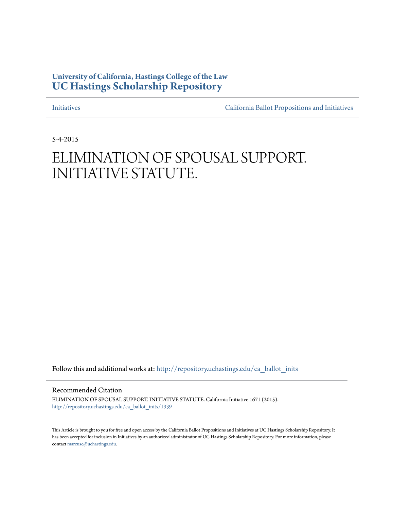## **University of California, Hastings College of the Law [UC Hastings Scholarship Repository](http://repository.uchastings.edu?utm_source=repository.uchastings.edu%2Fca_ballot_inits%2F1939&utm_medium=PDF&utm_campaign=PDFCoverPages)**

[Initiatives](http://repository.uchastings.edu/ca_ballot_inits?utm_source=repository.uchastings.edu%2Fca_ballot_inits%2F1939&utm_medium=PDF&utm_campaign=PDFCoverPages) [California Ballot Propositions and Initiatives](http://repository.uchastings.edu/ca_ballots?utm_source=repository.uchastings.edu%2Fca_ballot_inits%2F1939&utm_medium=PDF&utm_campaign=PDFCoverPages)

5-4-2015

# ELIMINATION OF SPOUSAL SUPPORT. INITIATIVE STATUTE.

Follow this and additional works at: [http://repository.uchastings.edu/ca\\_ballot\\_inits](http://repository.uchastings.edu/ca_ballot_inits?utm_source=repository.uchastings.edu%2Fca_ballot_inits%2F1939&utm_medium=PDF&utm_campaign=PDFCoverPages)

Recommended Citation

ELIMINATION OF SPOUSAL SUPPORT. INITIATIVE STATUTE. California Initiative 1671 (2015). [http://repository.uchastings.edu/ca\\_ballot\\_inits/1939](http://repository.uchastings.edu/ca_ballot_inits/1939?utm_source=repository.uchastings.edu%2Fca_ballot_inits%2F1939&utm_medium=PDF&utm_campaign=PDFCoverPages)

This Article is brought to you for free and open access by the California Ballot Propositions and Initiatives at UC Hastings Scholarship Repository. It has been accepted for inclusion in Initiatives by an authorized administrator of UC Hastings Scholarship Repository. For more information, please contact [marcusc@uchastings.edu](mailto:marcusc@uchastings.edu).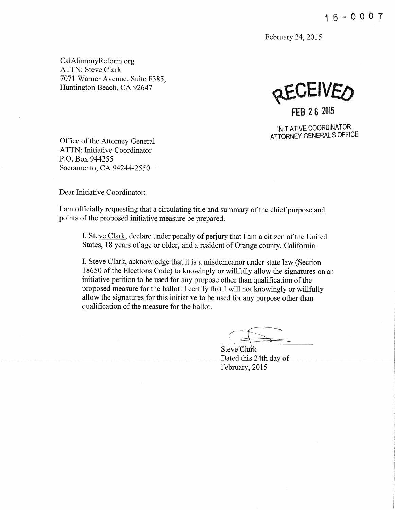February 24, 2015

CalAlimonyReform.org ATTN: Steve Clark 7071 Warner Avenue, Suite F385, Huntington Beach, CA 92647

**RECEIVEA FEB 2 6 2015** 

INITIATIVE COORDINATOR ATTORNEY GENERAL'S OFFICE

Office of the Attorney General ATTN: Initiative Coordinator P.O. Box 944255 Sacramento, CA 94244-2550

Dear Initiative Coordinator:

I am officially requesting that a circulating title and summary ofthe chief purpose and points of the proposed initiative measure be prepared.

I, Steve Clark, declare under penalty of perjury that I am a citizen of the United States, 18 years of age or older, and a resident of Orange county, California.

I, Steve Clark, acknowledge that it is a misdemeanor under state law (Section 18650 of the Elections Code) to knowingly or willfully allow the signatures on an initiative petition to be used for any purpose other than qualification of the proposed measure for the ballot. I certify that I will not knowingly or willfully allow the signatures for this initiative to be used for any purpose other than qualification of the measure for the ballot.

Steve Clark Dated this 24th day of February, 2015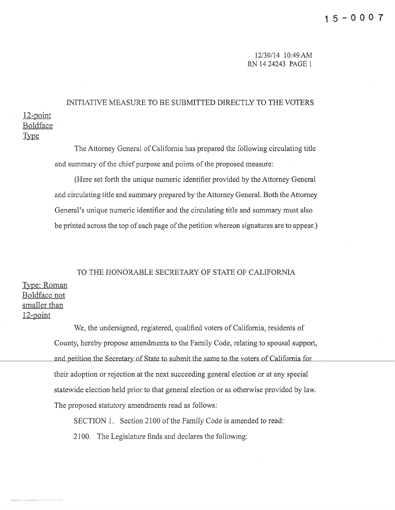12/30/14 10:49 AM RN 14 24243 PAGE 1

### 12-point Boldface INITIATIVE MEASURE TO BE SUBMITTED DIRECTLY TO THE VOTERS

**Type** 

The Attorney General of California has prepared the following circulating title and summary of the chief purpose and points of the proposed measure:

(Here set forth the unique numeric identifier provided by the Attorney General and circulating title and summary prepared by the Attorney General. Both the Attorney General's unique numeric identifier and the circulating title and summary must also be printed across the top of each page of the petition whereon signatures are to appear.)

# TO THE HONORABLE SECRETARY OF STATE OF CALIFORNIA Type: Roman Boldface not smaller than

12~point

We, the undersigned, registered, qualified voters of California, residents of County, hereby propose amendments to the Family Code, relating to spousal support, and petition the Secretary of State to submit the same to the voters of California for their adoption or rejection at the next succeeding general election or at any special statewide election held prior to that general election or as otherwise provided by law. The proposed statutory amendments read as follows:

SECTION 1. Section 2100 of the Family Code is amended to read: 2100. The Legislature finds and declares the following: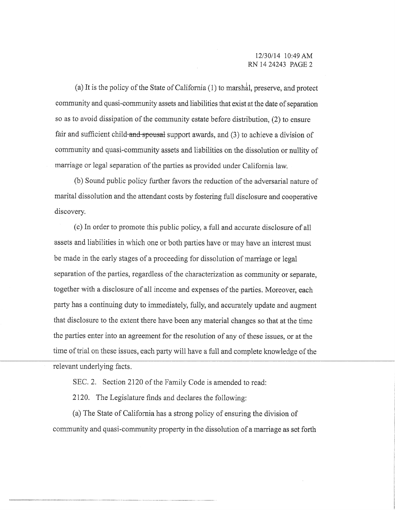(a) It is the policy of the State of California  $(1)$  to marshal, preserve, and protect community and quasi-community assets and liabilities that exist at the date of separation so as to avoid dissipation of the community estate before distribution, (2) to ensure fair and sufficient child-and-spousal support awards, and (3) to achieve a division of community and quasi-community assets and liabilities on the dissolution or nullity of marriage or legal separation of the parties as provided under California law.

(b) Sound public policy further favors the reduction of the adversarial nature of marital dissolution and the attendant costs by fostering full disclosure and cooperative discovery.

(c) In order to promote this public policy, a full and accurate disclosure of all assets and liabilities in which one or both parties have or may have an interest must be made in the early stages of a proceeding for dissolution of marriage or legal separation of the parties. regardless of the characterization as community or separate, together with a disclosure of all income and expenses of the parties. Moreover, each party has a continuing duty to immediately, fully, and accurately update and augment that disclosure to the extent there have been any material changes so that at the time the parties enter into an agreement for the resolution of any of these issues, or at the time of trial on these issues, each party will have a full and complete knowledge of the relevant underlying facts.

SEC. 2. Section 2120 of the Family Code is amended to read:

2120. The Legislature finds and declares the following:

(a) The State of California has a strong policy of ensuring the division of community and quasi-community property in the dissolution of a marriage as set forth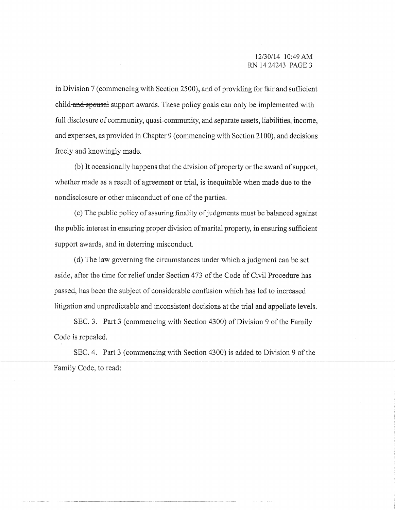in Division 7 (commencing with Section 2500), and of providing for fair and sufficient child and spousal support awards. These policy goals can only be implemented with full disclosure of community, quasi-community, and separate assets, liabilities, income, and expenses, as provided in Chapter 9 (commencing with Section 21 00), and decisions freely and knowingly made.

(b) It occasionally happens that the division of property or the award of support, whether made as a result of agreement or trial, is inequitable when made due to the nondisclosure or other misconduct of one of the parties.

(c) The public policy of assuring finality of judgments must be balanced against the public interest in ensuring proper division of marital property, in ensuring sufficient support awards, and in deterring misconduct.

(d) The law governing the circumstances under which a judgment can he set aside, after the time for relief under Section 473 of the Code of Civil Procedure has passed, has been the subject of considerable confusion which has led to increased litigation and unpredictable and inconsistent decisions at the trial and appellate levels.

SEC. 3. Part 3 (commencing with Section 4300) of Division 9 of the Family Code is repealed.

SEC. 4. Part 3 (commencing with Section 4300) is added to Division 9 of the Family Code, to read:

--------------------------------------------- -----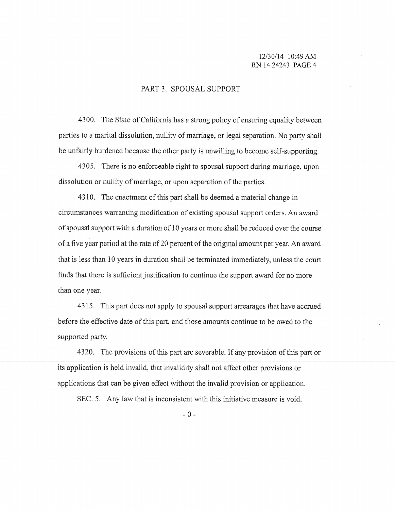### 12/30/14 10:49 AM RN 14 24243 PAGE 4

#### PART 3. SPOUSAL SUPPORT

4300. The State of California has a strong policy of ensuring equality between parties to a marital dissolution, nullity of marriage, or legal separation. No party shall be unfairly burdened because the other party is unwilling to become self-supporting.

4305. There is no enforceable right to spousal support during marriage, upon dissolution or nullity of marriage, or upon separation of the parties.

4310. The enactment of this part shall be deemed a material change in circumstances warranting modification of existing spousal support orders. An award of spousal support with a duration of 10 years or more shall be reduced over the course of a five year period at the rate of20 percent of the original amount per year. An award that is less than 10 years in duration shall be terminated immediately, unless the court finds that there is sufficient justification to continue the support award for no more than one year.

4315. This part does not apply to spousal support arrearages that have accrued before the effective date of this part, and those amounts continue to be owed to the supported party.

4320. The provisions of this part are severable. If any provision of this part or its application is held invalid, that invalidity shall not affect other provisions or applications that can be given effect without the invalid provision or application.

SEC. 5. Any law that is inconsistent with this initiative measure is void.

 $- 0 -$